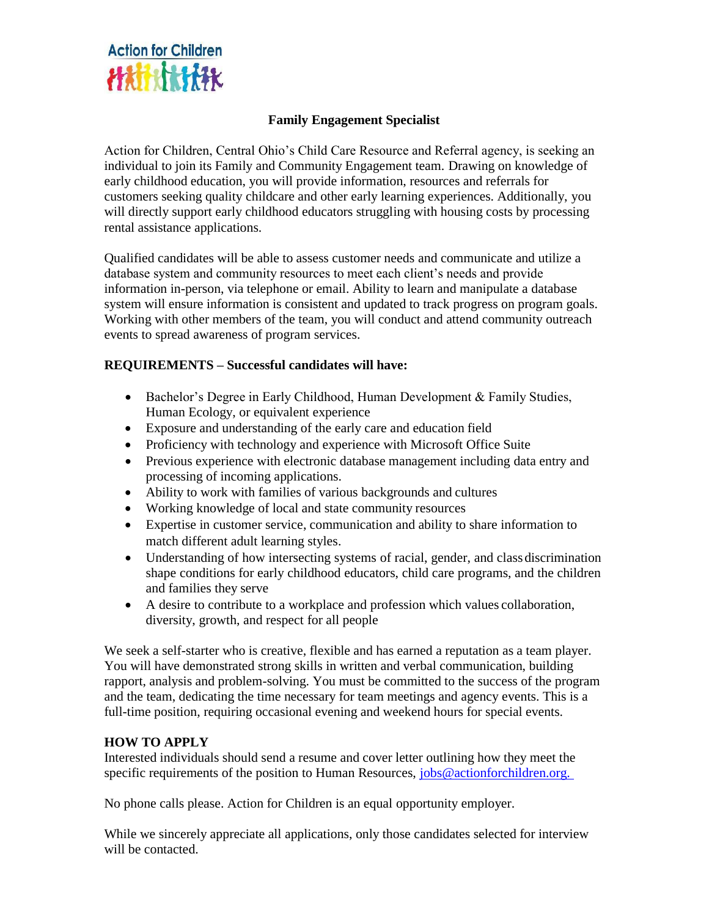

## **Family Engagement Specialist**

Action for Children, Central Ohio's Child Care Resource and Referral agency, is seeking an individual to join its Family and Community Engagement team. Drawing on knowledge of early childhood education, you will provide information, resources and referrals for customers seeking quality childcare and other early learning experiences. Additionally, you will directly support early childhood educators struggling with housing costs by processing rental assistance applications.

Qualified candidates will be able to assess customer needs and communicate and utilize a database system and community resources to meet each client's needs and provide information in-person, via telephone or email. Ability to learn and manipulate a database system will ensure information is consistent and updated to track progress on program goals. Working with other members of the team, you will conduct and attend community outreach events to spread awareness of program services.

## **REQUIREMENTS – Successful candidates will have:**

- Bachelor's Degree in Early Childhood, Human Development & Family Studies, Human Ecology, or equivalent experience
- Exposure and understanding of the early care and education field
- Proficiency with technology and experience with Microsoft Office Suite
- Previous experience with electronic database management including data entry and processing of incoming applications.
- Ability to work with families of various backgrounds and cultures
- Working knowledge of local and state community resources
- Expertise in customer service, communication and ability to share information to match different adult learning styles.
- Understanding of how intersecting systems of racial, gender, and class discrimination shape conditions for early childhood educators, child care programs, and the children and families they serve
- A desire to contribute to a workplace and profession which values collaboration, diversity, growth, and respect for all people

We seek a self-starter who is creative, flexible and has earned a reputation as a team player. You will have demonstrated strong skills in written and verbal communication, building rapport, analysis and problem-solving. You must be committed to the success of the program and the team, dedicating the time necessary for team meetings and agency events. This is a full-time position, requiring occasional evening and weekend hours for special events.

## **HOW TO APPLY**

Interested individuals should send a resume and cover letter outlining how they meet the specific requirements of the position to Human Resources, jobs@actionforchildren.org.

No phone calls please. Action for Children is an equal opportunity employer.

While we sincerely appreciate all applications, only those candidates selected for interview will be contacted.